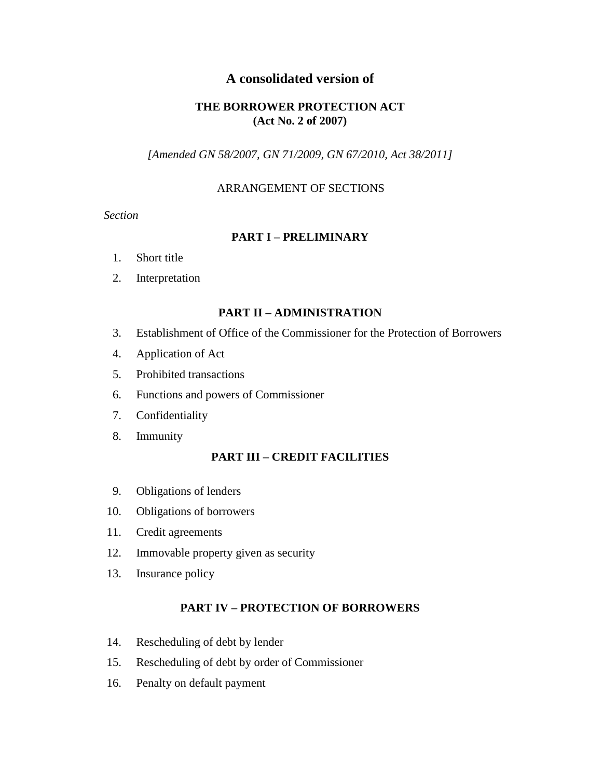# **A consolidated version of**

# **THE BORROWER PROTECTION ACT (Act No. 2 of 2007)**

*[Amended GN 58/2007, GN 71/2009, GN 67/2010, Act 38/2011]*

# ARRANGEMENT OF SECTIONS

*Section*

# **PART I – PRELIMINARY**

- 1. Short title
- 2. Interpretation

# **PART II – ADMINISTRATION**

- 3. Establishment of Office of the Commissioner for the Protection of Borrowers
- 4. Application of Act
- 5. Prohibited transactions
- 6. Functions and powers of Commissioner
- 7. Confidentiality
- 8. Immunity

# **PART III – CREDIT FACILITIES**

- 9. Obligations of lenders
- 10. Obligations of borrowers
- 11. Credit agreements
- 12. Immovable property given as security
- 13. Insurance policy

# **PART IV – PROTECTION OF BORROWERS**

- 14. Rescheduling of debt by lender
- 15. Rescheduling of debt by order of Commissioner
- 16. Penalty on default payment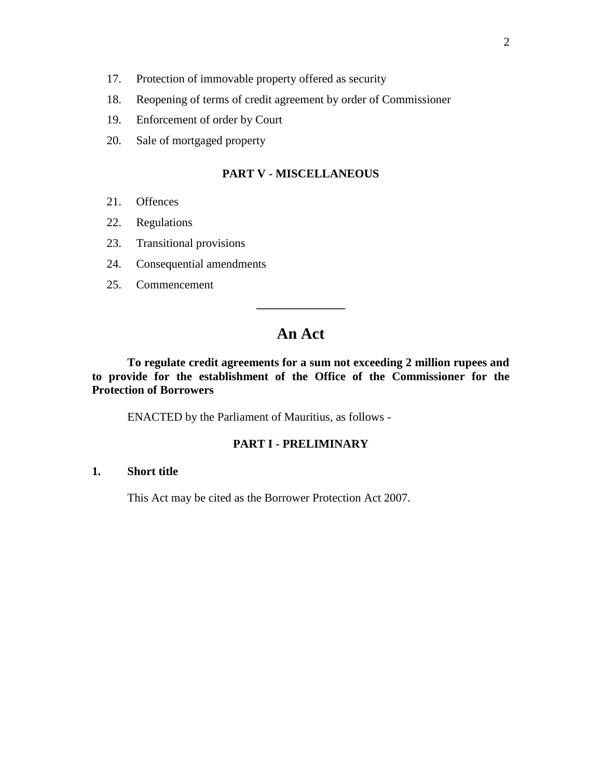- 17. Protection of immovable property offered as security
- 18. Reopening of terms of credit agreement by order of Commissioner
- 19. Enforcement of order by Court
- 20. Sale of mortgaged property

# **PART V - MISCELLANEOUS**

- 21. Offences
- 22. Regulations
- 23. Transitional provisions
- 24. Consequential amendments
- 25. Commencement

# **An Act**

**\_\_\_\_\_\_\_\_\_\_\_\_\_\_\_**

**To regulate credit agreements for a sum not exceeding 2 million rupees and to provide for the establishment of the Office of the Commissioner for the Protection of Borrowers**

ENACTED by the Parliament of Mauritius, as follows -

### **PART I - PRELIMINARY**

# **1. Short title**

This Act may be cited as the Borrower Protection Act 2007.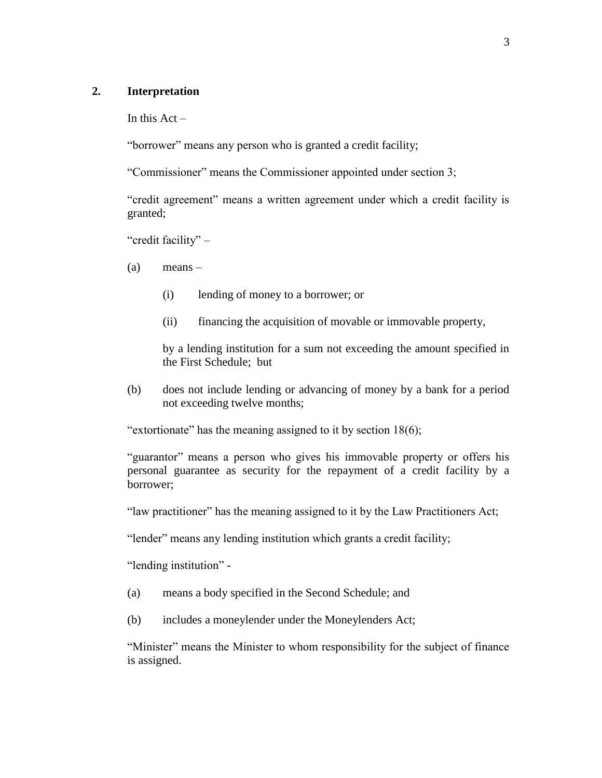### **2. Interpretation**

In this  $Act -$ 

"borrower" means any person who is granted a credit facility;

"Commissioner" means the Commissioner appointed under section 3;

"credit agreement" means a written agreement under which a credit facility is granted;

"credit facility" –

(a) means –

- (i) lending of money to a borrower; or
- (ii) financing the acquisition of movable or immovable property,

by a lending institution for a sum not exceeding the amount specified in the First Schedule; but

(b) does not include lending or advancing of money by a bank for a period not exceeding twelve months;

"extortionate" has the meaning assigned to it by section 18(6);

"guarantor" means a person who gives his immovable property or offers his personal guarantee as security for the repayment of a credit facility by a borrower;

"law practitioner" has the meaning assigned to it by the Law Practitioners Act;

"lender" means any lending institution which grants a credit facility;

"lending institution" -

- (a) means a body specified in the Second Schedule; and
- (b) includes a moneylender under the Moneylenders Act;

"Minister" means the Minister to whom responsibility for the subject of finance is assigned.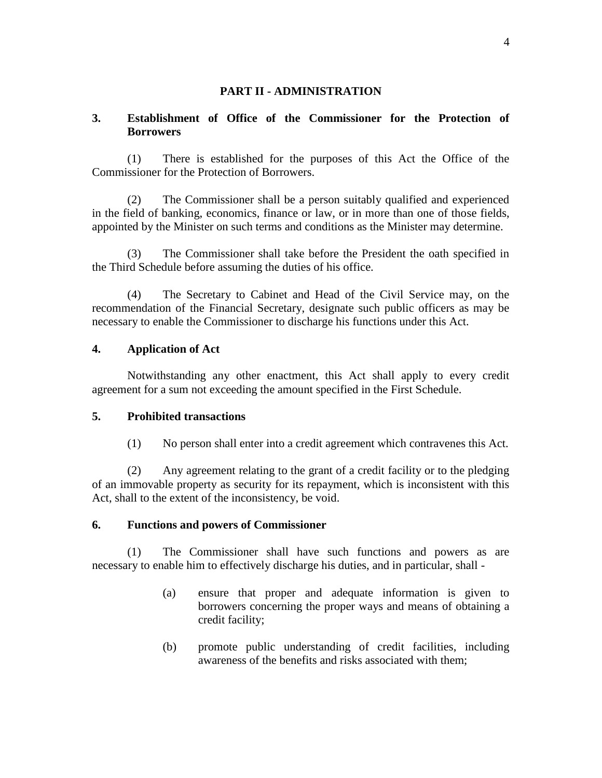### **PART II - ADMINISTRATION**

# **3. Establishment of Office of the Commissioner for the Protection of Borrowers**

(1) There is established for the purposes of this Act the Office of the Commissioner for the Protection of Borrowers.

(2) The Commissioner shall be a person suitably qualified and experienced in the field of banking, economics, finance or law, or in more than one of those fields, appointed by the Minister on such terms and conditions as the Minister may determine.

(3) The Commissioner shall take before the President the oath specified in the Third Schedule before assuming the duties of his office.

(4) The Secretary to Cabinet and Head of the Civil Service may, on the recommendation of the Financial Secretary, designate such public officers as may be necessary to enable the Commissioner to discharge his functions under this Act.

### **4. Application of Act**

Notwithstanding any other enactment, this Act shall apply to every credit agreement for a sum not exceeding the amount specified in the First Schedule.

### **5. Prohibited transactions**

(1) No person shall enter into a credit agreement which contravenes this Act.

(2) Any agreement relating to the grant of a credit facility or to the pledging of an immovable property as security for its repayment, which is inconsistent with this Act, shall to the extent of the inconsistency, be void.

### **6. Functions and powers of Commissioner**

(1) The Commissioner shall have such functions and powers as are necessary to enable him to effectively discharge his duties, and in particular, shall -

- (a) ensure that proper and adequate information is given to borrowers concerning the proper ways and means of obtaining a credit facility;
- (b) promote public understanding of credit facilities, including awareness of the benefits and risks associated with them;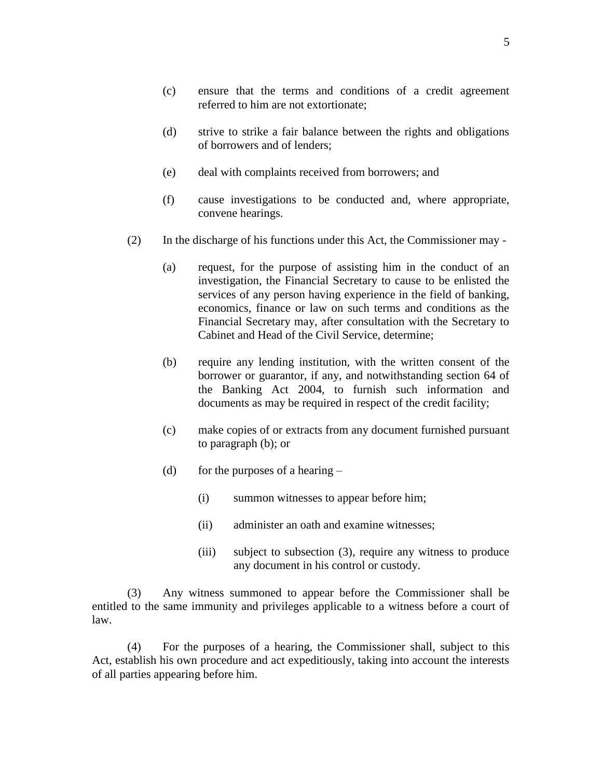- (c) ensure that the terms and conditions of a credit agreement referred to him are not extortionate;
- (d) strive to strike a fair balance between the rights and obligations of borrowers and of lenders;
- (e) deal with complaints received from borrowers; and
- (f) cause investigations to be conducted and, where appropriate, convene hearings.
- (2) In the discharge of his functions under this Act, the Commissioner may
	- (a) request, for the purpose of assisting him in the conduct of an investigation, the Financial Secretary to cause to be enlisted the services of any person having experience in the field of banking, economics, finance or law on such terms and conditions as the Financial Secretary may, after consultation with the Secretary to Cabinet and Head of the Civil Service, determine;
	- (b) require any lending institution, with the written consent of the borrower or guarantor, if any, and notwithstanding section 64 of the Banking Act 2004, to furnish such information and documents as may be required in respect of the credit facility;
	- (c) make copies of or extracts from any document furnished pursuant to paragraph (b); or
	- (d) for the purposes of a hearing  $-$ 
		- (i) summon witnesses to appear before him;
		- (ii) administer an oath and examine witnesses;
		- (iii) subject to subsection (3), require any witness to produce any document in his control or custody.

(3) Any witness summoned to appear before the Commissioner shall be entitled to the same immunity and privileges applicable to a witness before a court of law.

(4) For the purposes of a hearing, the Commissioner shall, subject to this Act, establish his own procedure and act expeditiously, taking into account the interests of all parties appearing before him.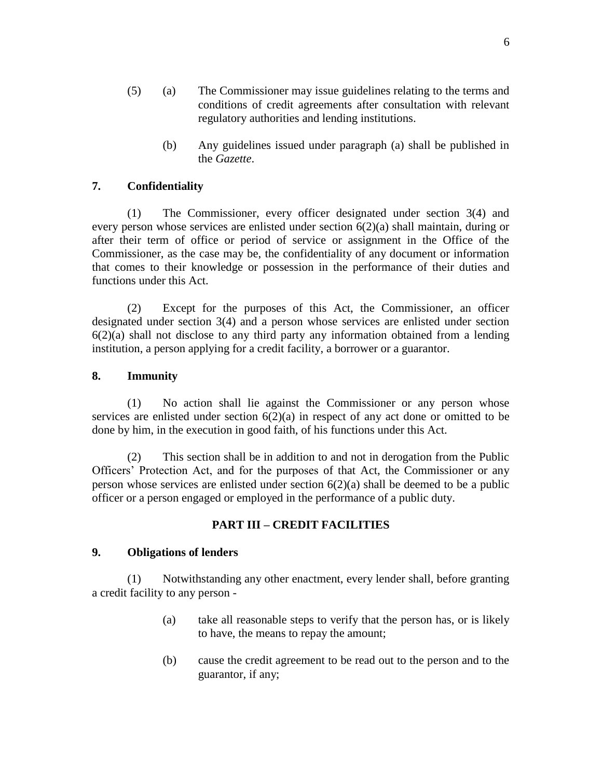- (5) (a) The Commissioner may issue guidelines relating to the terms and conditions of credit agreements after consultation with relevant regulatory authorities and lending institutions.
	- (b) Any guidelines issued under paragraph (a) shall be published in the *Gazette*.

# **7. Confidentiality**

(1) The Commissioner, every officer designated under section 3(4) and every person whose services are enlisted under section 6(2)(a) shall maintain, during or after their term of office or period of service or assignment in the Office of the Commissioner, as the case may be, the confidentiality of any document or information that comes to their knowledge or possession in the performance of their duties and functions under this Act.

(2) Except for the purposes of this Act, the Commissioner, an officer designated under section 3(4) and a person whose services are enlisted under section  $6(2)(a)$  shall not disclose to any third party any information obtained from a lending institution, a person applying for a credit facility, a borrower or a guarantor.

### **8. Immunity**

(1) No action shall lie against the Commissioner or any person whose services are enlisted under section  $6(2)(a)$  in respect of any act done or omitted to be done by him, in the execution in good faith, of his functions under this Act.

(2) This section shall be in addition to and not in derogation from the Public Officers' Protection Act, and for the purposes of that Act, the Commissioner or any person whose services are enlisted under section 6(2)(a) shall be deemed to be a public officer or a person engaged or employed in the performance of a public duty.

# **PART III – CREDIT FACILITIES**

### **9. Obligations of lenders**

(1) Notwithstanding any other enactment, every lender shall, before granting a credit facility to any person -

- (a) take all reasonable steps to verify that the person has, or is likely to have, the means to repay the amount;
- (b) cause the credit agreement to be read out to the person and to the guarantor, if any;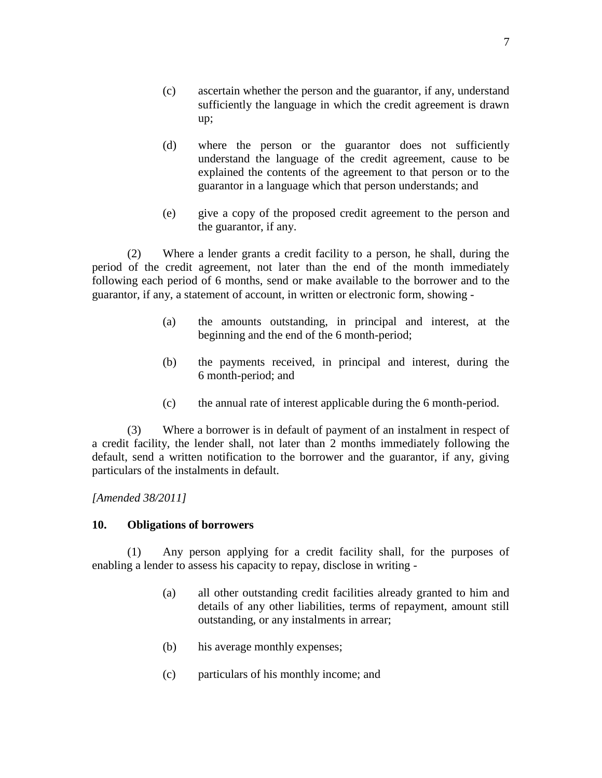- (c) ascertain whether the person and the guarantor, if any, understand sufficiently the language in which the credit agreement is drawn up;
- (d) where the person or the guarantor does not sufficiently understand the language of the credit agreement, cause to be explained the contents of the agreement to that person or to the guarantor in a language which that person understands; and
- (e) give a copy of the proposed credit agreement to the person and the guarantor, if any.

(2) Where a lender grants a credit facility to a person, he shall, during the period of the credit agreement, not later than the end of the month immediately following each period of 6 months, send or make available to the borrower and to the guarantor, if any, a statement of account, in written or electronic form, showing -

- (a) the amounts outstanding, in principal and interest, at the beginning and the end of the 6 month-period;
- (b) the payments received, in principal and interest, during the 6 month-period; and
- (c) the annual rate of interest applicable during the 6 month-period.

(3) Where a borrower is in default of payment of an instalment in respect of a credit facility, the lender shall, not later than 2 months immediately following the default, send a written notification to the borrower and the guarantor, if any, giving particulars of the instalments in default.

*[Amended 38/2011]*

# **10. Obligations of borrowers**

(1) Any person applying for a credit facility shall, for the purposes of enabling a lender to assess his capacity to repay, disclose in writing -

- (a) all other outstanding credit facilities already granted to him and details of any other liabilities, terms of repayment, amount still outstanding, or any instalments in arrear;
- (b) his average monthly expenses;
- (c) particulars of his monthly income; and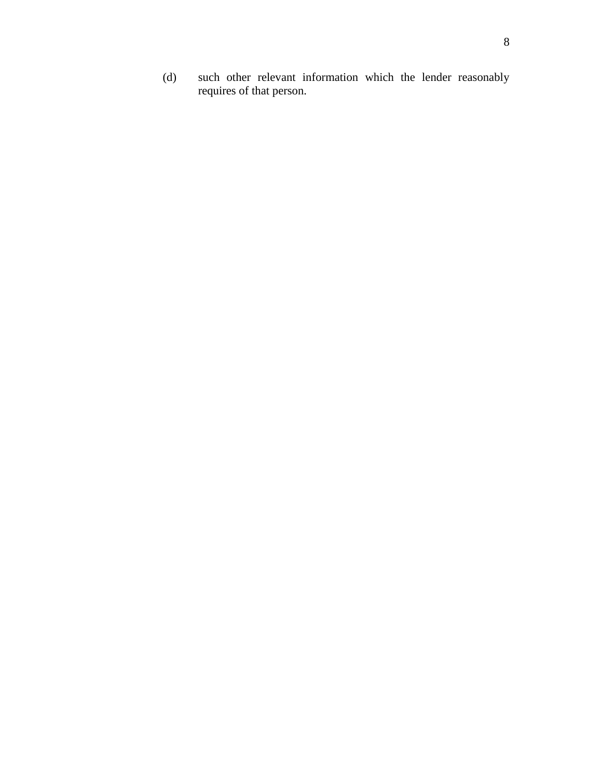(d) such other relevant information which the lender reasonably requires of that person.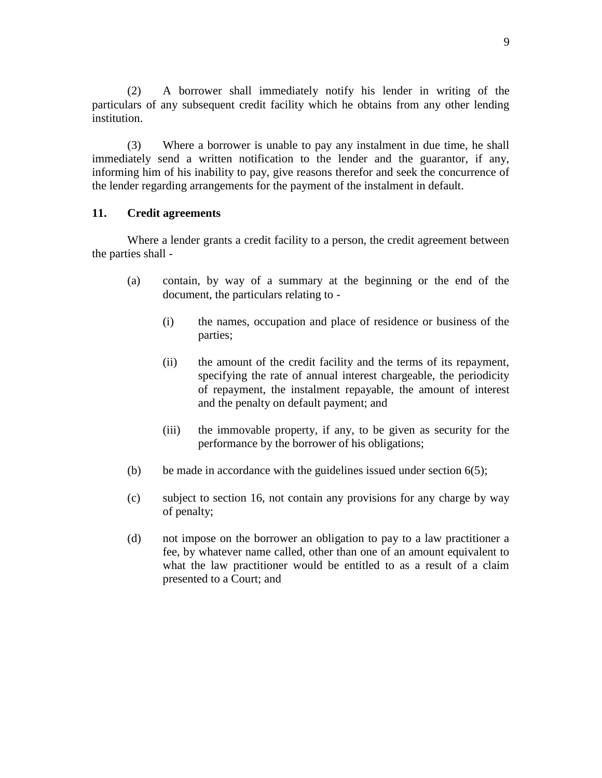(2) A borrower shall immediately notify his lender in writing of the particulars of any subsequent credit facility which he obtains from any other lending institution.

(3) Where a borrower is unable to pay any instalment in due time, he shall immediately send a written notification to the lender and the guarantor, if any, informing him of his inability to pay, give reasons therefor and seek the concurrence of the lender regarding arrangements for the payment of the instalment in default.

### **11. Credit agreements**

Where a lender grants a credit facility to a person, the credit agreement between the parties shall -

- (a) contain, by way of a summary at the beginning or the end of the document, the particulars relating to -
	- (i) the names, occupation and place of residence or business of the parties;
	- (ii) the amount of the credit facility and the terms of its repayment, specifying the rate of annual interest chargeable, the periodicity of repayment, the instalment repayable, the amount of interest and the penalty on default payment; and
	- (iii) the immovable property, if any, to be given as security for the performance by the borrower of his obligations;
- (b) be made in accordance with the guidelines issued under section  $6(5)$ ;
- (c) subject to section 16, not contain any provisions for any charge by way of penalty;
- (d) not impose on the borrower an obligation to pay to a law practitioner a fee, by whatever name called, other than one of an amount equivalent to what the law practitioner would be entitled to as a result of a claim presented to a Court; and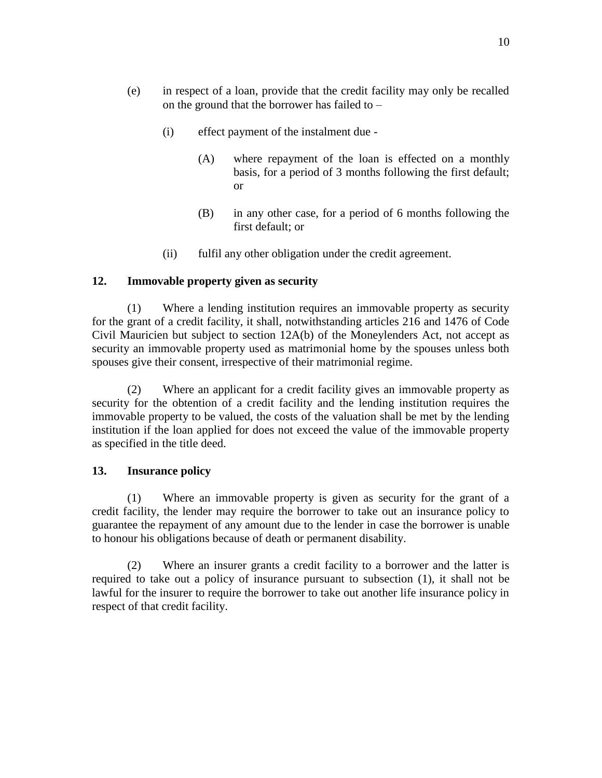- (e) in respect of a loan, provide that the credit facility may only be recalled on the ground that the borrower has failed to –
	- (i) effect payment of the instalment due
		- (A) where repayment of the loan is effected on a monthly basis, for a period of 3 months following the first default; or
		- (B) in any other case, for a period of 6 months following the first default; or
	- (ii) fulfil any other obligation under the credit agreement.

# **12. Immovable property given as security**

(1) Where a lending institution requires an immovable property as security for the grant of a credit facility, it shall, notwithstanding articles 216 and 1476 of Code Civil Mauricien but subject to section 12A(b) of the Moneylenders Act, not accept as security an immovable property used as matrimonial home by the spouses unless both spouses give their consent, irrespective of their matrimonial regime.

(2) Where an applicant for a credit facility gives an immovable property as security for the obtention of a credit facility and the lending institution requires the immovable property to be valued, the costs of the valuation shall be met by the lending institution if the loan applied for does not exceed the value of the immovable property as specified in the title deed.

### **13. Insurance policy**

(1) Where an immovable property is given as security for the grant of a credit facility, the lender may require the borrower to take out an insurance policy to guarantee the repayment of any amount due to the lender in case the borrower is unable to honour his obligations because of death or permanent disability.

(2) Where an insurer grants a credit facility to a borrower and the latter is required to take out a policy of insurance pursuant to subsection (1), it shall not be lawful for the insurer to require the borrower to take out another life insurance policy in respect of that credit facility.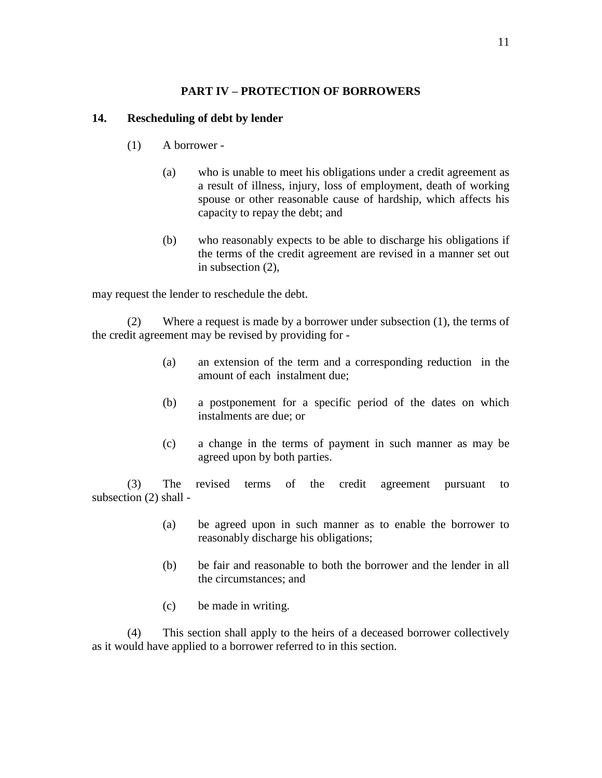# **PART IV – PROTECTION OF BORROWERS**

# **14. Rescheduling of debt by lender**

- (1) A borrower
	- (a) who is unable to meet his obligations under a credit agreement as a result of illness, injury, loss of employment, death of working spouse or other reasonable cause of hardship, which affects his capacity to repay the debt; and
	- (b) who reasonably expects to be able to discharge his obligations if the terms of the credit agreement are revised in a manner set out in subsection (2),

may request the lender to reschedule the debt.

(2) Where a request is made by a borrower under subsection (1), the terms of the credit agreement may be revised by providing for -

- (a) an extension of the term and a corresponding reduction in the amount of each instalment due;
- (b) a postponement for a specific period of the dates on which instalments are due; or
- (c) a change in the terms of payment in such manner as may be agreed upon by both parties.

(3) The revised terms of the credit agreement pursuant to subsection (2) shall -

- (a) be agreed upon in such manner as to enable the borrower to reasonably discharge his obligations;
- (b) be fair and reasonable to both the borrower and the lender in all the circumstances; and
- (c) be made in writing.

(4) This section shall apply to the heirs of a deceased borrower collectively as it would have applied to a borrower referred to in this section.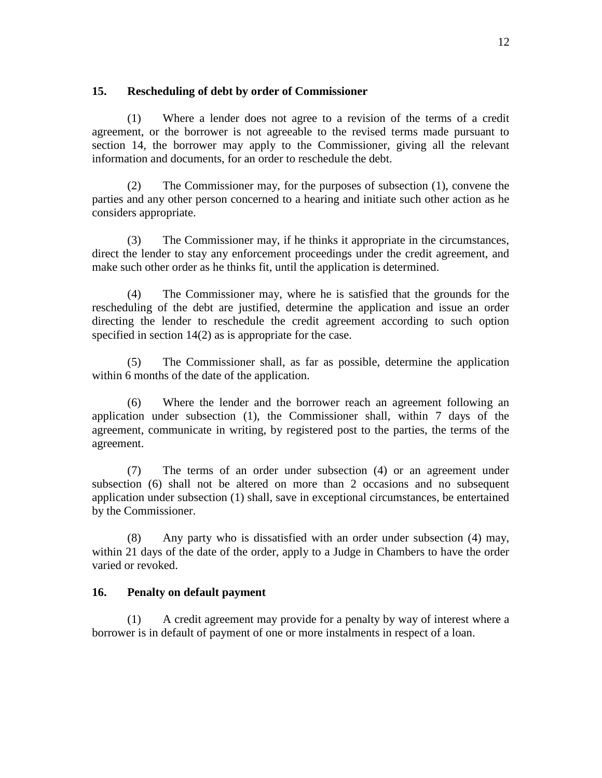# **15. Rescheduling of debt by order of Commissioner**

(1) Where a lender does not agree to a revision of the terms of a credit agreement, or the borrower is not agreeable to the revised terms made pursuant to section 14, the borrower may apply to the Commissioner, giving all the relevant information and documents, for an order to reschedule the debt.

(2) The Commissioner may, for the purposes of subsection (1), convene the parties and any other person concerned to a hearing and initiate such other action as he considers appropriate.

(3) The Commissioner may, if he thinks it appropriate in the circumstances, direct the lender to stay any enforcement proceedings under the credit agreement, and make such other order as he thinks fit, until the application is determined.

(4) The Commissioner may, where he is satisfied that the grounds for the rescheduling of the debt are justified, determine the application and issue an order directing the lender to reschedule the credit agreement according to such option specified in section 14(2) as is appropriate for the case.

(5) The Commissioner shall, as far as possible, determine the application within 6 months of the date of the application.

(6) Where the lender and the borrower reach an agreement following an application under subsection (1), the Commissioner shall, within 7 days of the agreement, communicate in writing, by registered post to the parties, the terms of the agreement.

(7) The terms of an order under subsection (4) or an agreement under subsection (6) shall not be altered on more than 2 occasions and no subsequent application under subsection (1) shall, save in exceptional circumstances, be entertained by the Commissioner.

(8) Any party who is dissatisfied with an order under subsection (4) may, within 21 days of the date of the order, apply to a Judge in Chambers to have the order varied or revoked.

# **16. Penalty on default payment**

(1) A credit agreement may provide for a penalty by way of interest where a borrower is in default of payment of one or more instalments in respect of a loan.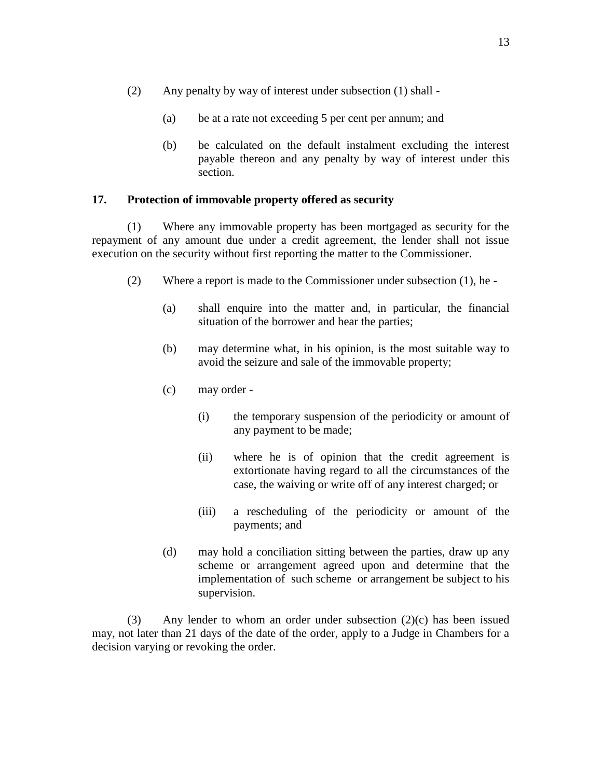- (2) Any penalty by way of interest under subsection (1) shall
	- (a) be at a rate not exceeding 5 per cent per annum; and
	- (b) be calculated on the default instalment excluding the interest payable thereon and any penalty by way of interest under this section.

### **17. Protection of immovable property offered as security**

(1) Where any immovable property has been mortgaged as security for the repayment of any amount due under a credit agreement, the lender shall not issue execution on the security without first reporting the matter to the Commissioner.

- (2) Where a report is made to the Commissioner under subsection (1), he
	- (a) shall enquire into the matter and, in particular, the financial situation of the borrower and hear the parties;
	- (b) may determine what, in his opinion, is the most suitable way to avoid the seizure and sale of the immovable property;
	- (c) may order
		- (i) the temporary suspension of the periodicity or amount of any payment to be made;
		- (ii) where he is of opinion that the credit agreement is extortionate having regard to all the circumstances of the case, the waiving or write off of any interest charged; or
		- (iii) a rescheduling of the periodicity or amount of the payments; and
	- (d) may hold a conciliation sitting between the parties, draw up any scheme or arrangement agreed upon and determine that the implementation of such scheme or arrangement be subject to his supervision.

(3) Any lender to whom an order under subsection  $(2)(c)$  has been issued may, not later than 21 days of the date of the order, apply to a Judge in Chambers for a decision varying or revoking the order.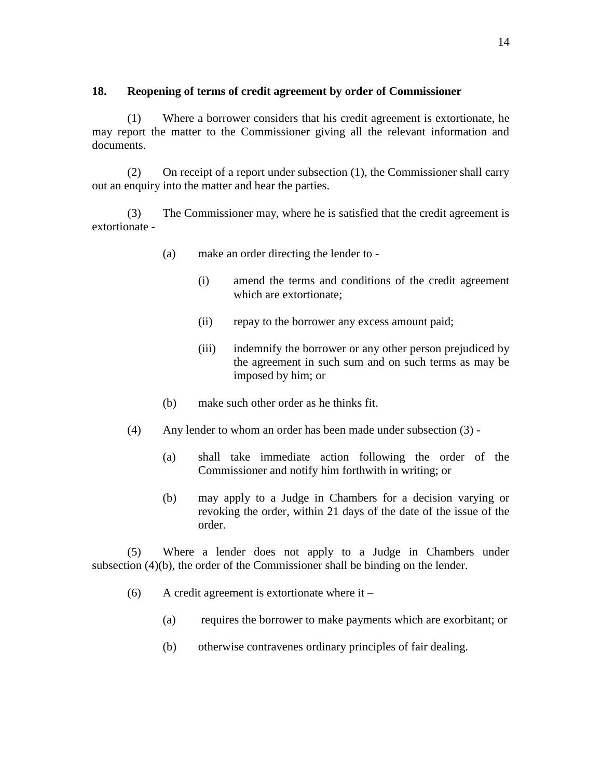# **18. Reopening of terms of credit agreement by order of Commissioner**

(1) Where a borrower considers that his credit agreement is extortionate, he may report the matter to the Commissioner giving all the relevant information and documents.

(2) On receipt of a report under subsection (1), the Commissioner shall carry out an enquiry into the matter and hear the parties.

(3) The Commissioner may, where he is satisfied that the credit agreement is extortionate -

- (a) make an order directing the lender to
	- (i) amend the terms and conditions of the credit agreement which are extortionate;
	- (ii) repay to the borrower any excess amount paid;
	- (iii) indemnify the borrower or any other person prejudiced by the agreement in such sum and on such terms as may be imposed by him; or
- (b) make such other order as he thinks fit.
- (4) Any lender to whom an order has been made under subsection (3)
	- (a) shall take immediate action following the order of the Commissioner and notify him forthwith in writing; or
	- (b) may apply to a Judge in Chambers for a decision varying or revoking the order, within 21 days of the date of the issue of the order.

(5) Where a lender does not apply to a Judge in Chambers under subsection (4)(b), the order of the Commissioner shall be binding on the lender.

- (6) A credit agreement is extortionate where it
	- (a) requires the borrower to make payments which are exorbitant; or
	- (b) otherwise contravenes ordinary principles of fair dealing.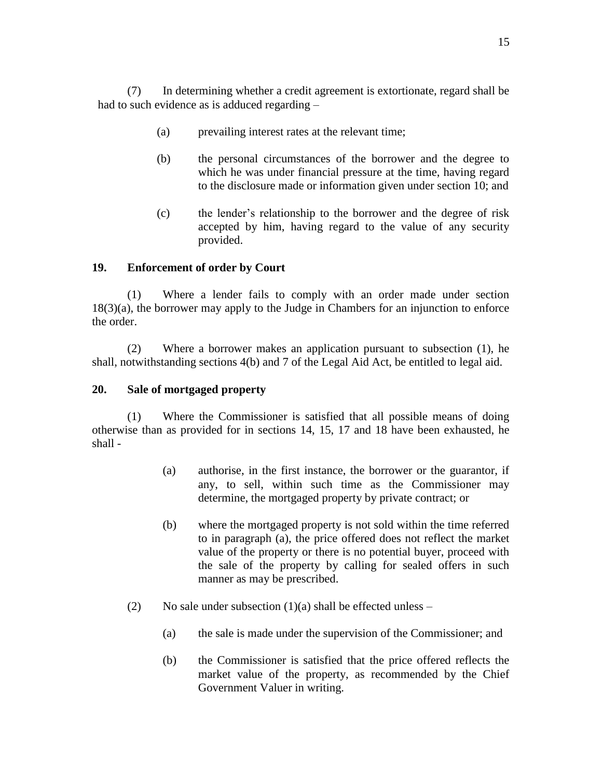(7) In determining whether a credit agreement is extortionate, regard shall be had to such evidence as is adduced regarding –

- (a) prevailing interest rates at the relevant time;
- (b) the personal circumstances of the borrower and the degree to which he was under financial pressure at the time, having regard to the disclosure made or information given under section 10; and
- (c) the lender's relationship to the borrower and the degree of risk accepted by him, having regard to the value of any security provided.

# **19. Enforcement of order by Court**

(1) Where a lender fails to comply with an order made under section 18(3)(a), the borrower may apply to the Judge in Chambers for an injunction to enforce the order.

(2) Where a borrower makes an application pursuant to subsection (1), he shall, notwithstanding sections 4(b) and 7 of the Legal Aid Act, be entitled to legal aid.

# **20. Sale of mortgaged property**

(1) Where the Commissioner is satisfied that all possible means of doing otherwise than as provided for in sections 14, 15, 17 and 18 have been exhausted, he shall -

- (a) authorise, in the first instance, the borrower or the guarantor, if any, to sell, within such time as the Commissioner may determine, the mortgaged property by private contract; or
- (b) where the mortgaged property is not sold within the time referred to in paragraph (a), the price offered does not reflect the market value of the property or there is no potential buyer, proceed with the sale of the property by calling for sealed offers in such manner as may be prescribed.
- (2) No sale under subsection  $(1)(a)$  shall be effected unless
	- (a) the sale is made under the supervision of the Commissioner; and
	- (b) the Commissioner is satisfied that the price offered reflects the market value of the property, as recommended by the Chief Government Valuer in writing.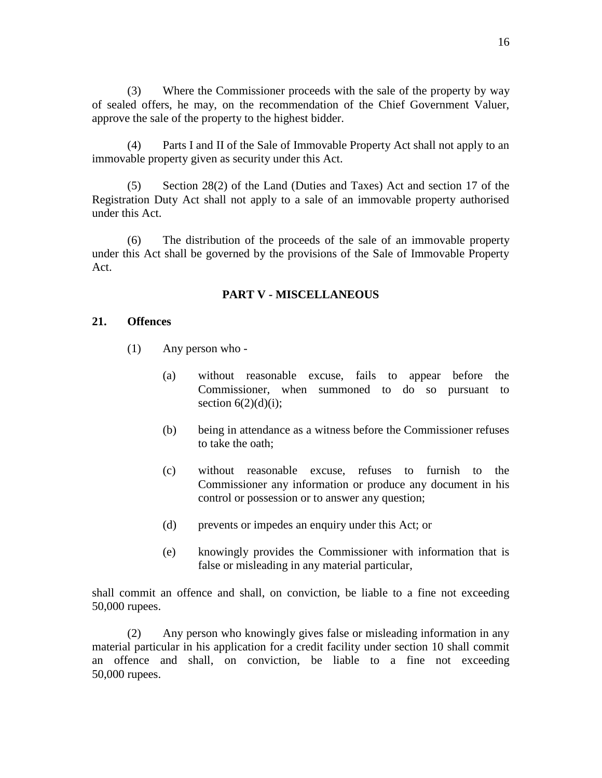(3) Where the Commissioner proceeds with the sale of the property by way of sealed offers, he may, on the recommendation of the Chief Government Valuer, approve the sale of the property to the highest bidder.

(4) Parts I and II of the Sale of Immovable Property Act shall not apply to an immovable property given as security under this Act.

(5) Section 28(2) of the Land (Duties and Taxes) Act and section 17 of the Registration Duty Act shall not apply to a sale of an immovable property authorised under this Act.

(6) The distribution of the proceeds of the sale of an immovable property under this Act shall be governed by the provisions of the Sale of Immovable Property Act.

#### **PART V - MISCELLANEOUS**

### **21. Offences**

- (1) Any person who
	- (a) without reasonable excuse, fails to appear before the Commissioner, when summoned to do so pursuant to section  $6(2)(d)(i)$ ;
	- (b) being in attendance as a witness before the Commissioner refuses to take the oath;
	- (c) without reasonable excuse, refuses to furnish to the Commissioner any information or produce any document in his control or possession or to answer any question;
	- (d) prevents or impedes an enquiry under this Act; or
	- (e) knowingly provides the Commissioner with information that is false or misleading in any material particular,

shall commit an offence and shall, on conviction, be liable to a fine not exceeding 50,000 rupees.

(2) Any person who knowingly gives false or misleading information in any material particular in his application for a credit facility under section 10 shall commit an offence and shall, on conviction, be liable to a fine not exceeding 50,000 rupees.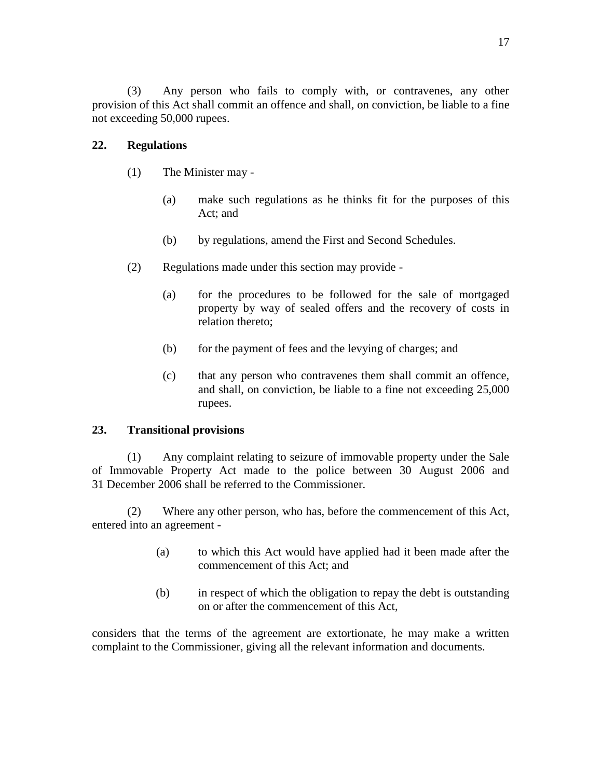(3) Any person who fails to comply with, or contravenes, any other provision of this Act shall commit an offence and shall, on conviction, be liable to a fine not exceeding 50,000 rupees.

# **22. Regulations**

- (1) The Minister may
	- (a) make such regulations as he thinks fit for the purposes of this Act; and
	- (b) by regulations, amend the First and Second Schedules.
- (2) Regulations made under this section may provide
	- (a) for the procedures to be followed for the sale of mortgaged property by way of sealed offers and the recovery of costs in relation thereto;
	- (b) for the payment of fees and the levying of charges; and
	- (c) that any person who contravenes them shall commit an offence, and shall, on conviction, be liable to a fine not exceeding 25,000 rupees.

### **23. Transitional provisions**

(1) Any complaint relating to seizure of immovable property under the Sale of Immovable Property Act made to the police between 30 August 2006 and 31 December 2006 shall be referred to the Commissioner.

(2) Where any other person, who has, before the commencement of this Act, entered into an agreement -

- (a) to which this Act would have applied had it been made after the commencement of this Act; and
- (b) in respect of which the obligation to repay the debt is outstanding on or after the commencement of this Act,

considers that the terms of the agreement are extortionate, he may make a written complaint to the Commissioner, giving all the relevant information and documents.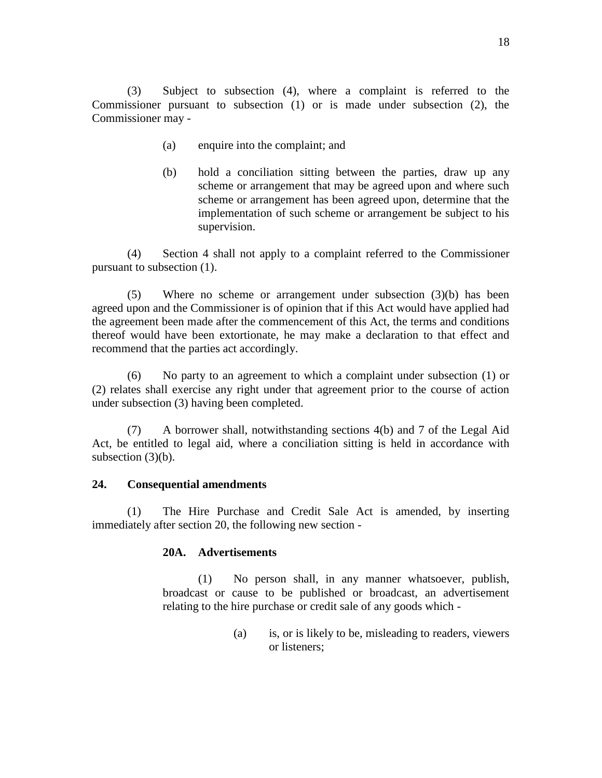(3) Subject to subsection (4), where a complaint is referred to the Commissioner pursuant to subsection (1) or is made under subsection (2), the Commissioner may -

- (a) enquire into the complaint; and
- (b) hold a conciliation sitting between the parties, draw up any scheme or arrangement that may be agreed upon and where such scheme or arrangement has been agreed upon, determine that the implementation of such scheme or arrangement be subject to his supervision.

(4) Section 4 shall not apply to a complaint referred to the Commissioner pursuant to subsection (1).

(5) Where no scheme or arrangement under subsection (3)(b) has been agreed upon and the Commissioner is of opinion that if this Act would have applied had the agreement been made after the commencement of this Act, the terms and conditions thereof would have been extortionate, he may make a declaration to that effect and recommend that the parties act accordingly.

(6) No party to an agreement to which a complaint under subsection (1) or (2) relates shall exercise any right under that agreement prior to the course of action under subsection (3) having been completed.

(7) A borrower shall, notwithstanding sections 4(b) and 7 of the Legal Aid Act, be entitled to legal aid, where a conciliation sitting is held in accordance with subsection  $(3)(b)$ .

# **24. Consequential amendments**

(1) The Hire Purchase and Credit Sale Act is amended, by inserting immediately after section 20, the following new section -

# **20A. Advertisements**

(1) No person shall, in any manner whatsoever, publish, broadcast or cause to be published or broadcast, an advertisement relating to the hire purchase or credit sale of any goods which -

> (a) is, or is likely to be, misleading to readers, viewers or listeners;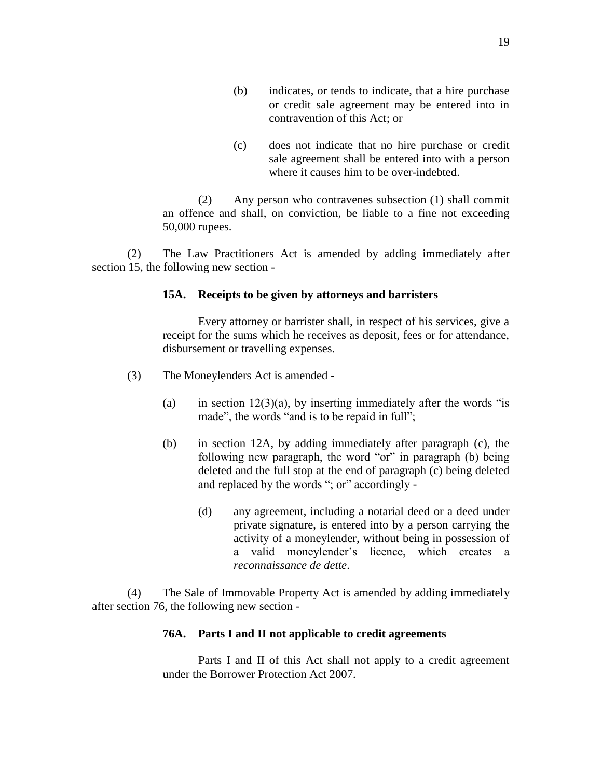- (b) indicates, or tends to indicate, that a hire purchase or credit sale agreement may be entered into in contravention of this Act; or
- (c) does not indicate that no hire purchase or credit sale agreement shall be entered into with a person where it causes him to be over-indebted.

(2) Any person who contravenes subsection (1) shall commit an offence and shall, on conviction, be liable to a fine not exceeding 50,000 rupees.

(2) The Law Practitioners Act is amended by adding immediately after section 15, the following new section -

### **15A. Receipts to be given by attorneys and barristers**

Every attorney or barrister shall, in respect of his services, give a receipt for the sums which he receives as deposit, fees or for attendance, disbursement or travelling expenses.

- (3) The Moneylenders Act is amended
	- (a) in section  $12(3)(a)$ , by inserting immediately after the words "is made", the words "and is to be repaid in full";
	- (b) in section 12A, by adding immediately after paragraph (c), the following new paragraph, the word "or" in paragraph (b) being deleted and the full stop at the end of paragraph (c) being deleted and replaced by the words "; or" accordingly -
		- (d) any agreement, including a notarial deed or a deed under private signature, is entered into by a person carrying the activity of a moneylender, without being in possession of a valid moneylender's licence, which creates a *reconnaissance de dette*.

(4) The Sale of Immovable Property Act is amended by adding immediately after section 76, the following new section -

### **76A. Parts I and II not applicable to credit agreements**

Parts I and II of this Act shall not apply to a credit agreement under the Borrower Protection Act 2007.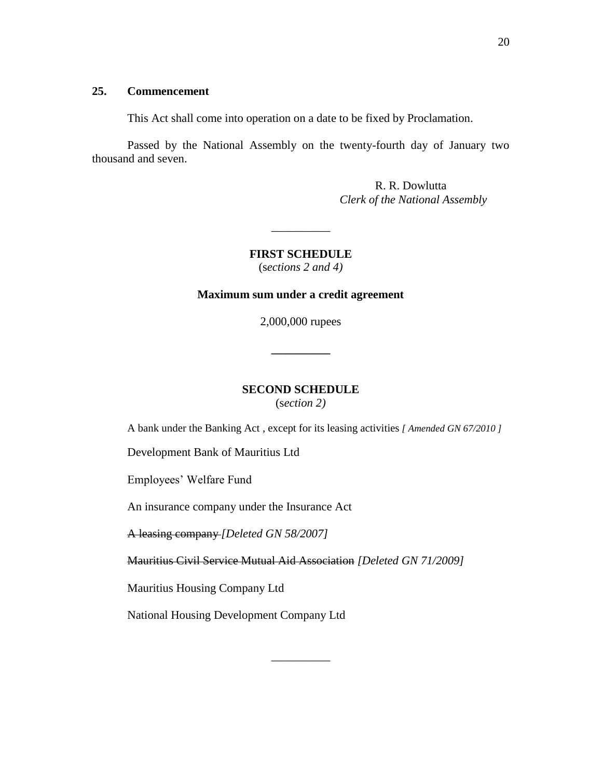#### **25. Commencement**

This Act shall come into operation on a date to be fixed by Proclamation.

Passed by the National Assembly on the twenty-fourth day of January two thousand and seven.

> R. R. Dowlutta *Clerk of the National Assembly*

**FIRST SCHEDULE** (s*ections 2 and 4)*

 $\overline{\phantom{a}}$ 

#### **Maximum sum under a credit agreement**

2,000,000 rupees

**\_\_\_\_\_\_\_\_\_\_**

# **SECOND SCHEDULE**

(s*ection 2)*

A bank under the Banking Act , except for its leasing activities *[ Amended GN 67/2010 ]*

Development Bank of Mauritius Ltd

Employees' Welfare Fund

An insurance company under the Insurance Act

A leasing company *[Deleted GN 58/2007]*

Mauritius Civil Service Mutual Aid Association *[Deleted GN 71/2009]*

\_\_\_\_\_\_\_\_\_\_

Mauritius Housing Company Ltd

National Housing Development Company Ltd